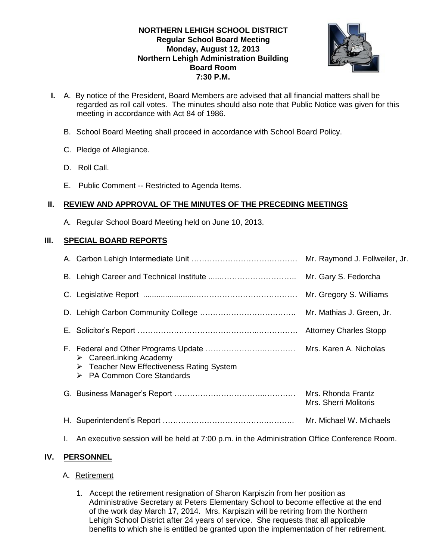## **NORTHERN LEHIGH SCHOOL DISTRICT Regular School Board Meeting Monday, August 12, 2013 Northern Lehigh Administration Building Board Room 7:30 P.M.**



- **I.** A. By notice of the President, Board Members are advised that all financial matters shall be regarded as roll call votes. The minutes should also note that Public Notice was given for this meeting in accordance with Act 84 of 1986.
	- B. School Board Meeting shall proceed in accordance with School Board Policy.
	- C. Pledge of Allegiance.
	- D. Roll Call.
	- E. Public Comment -- Restricted to Agenda Items.

## **II. REVIEW AND APPROVAL OF THE MINUTES OF THE PRECEDING MEETINGS**

A. Regular School Board Meeting held on June 10, 2013.

## **III. SPECIAL BOARD REPORTS**

|                                                                                                                                            | Mr. Raymond J. Follweiler, Jr.              |
|--------------------------------------------------------------------------------------------------------------------------------------------|---------------------------------------------|
|                                                                                                                                            | Mr. Gary S. Fedorcha                        |
|                                                                                                                                            | Mr. Gregory S. Williams                     |
|                                                                                                                                            |                                             |
|                                                                                                                                            |                                             |
| $\triangleright$ CareerLinking Academy<br>$\triangleright$ Teacher New Effectiveness Rating System<br><b>PA Common Core Standards</b><br>➤ | Mrs. Karen A. Nicholas                      |
|                                                                                                                                            | Mrs. Rhonda Frantz<br>Mrs. Sherri Molitoris |
|                                                                                                                                            | Mr. Michael W. Michaels                     |
|                                                                                                                                            |                                             |

## I. An executive session will be held at 7:00 p.m. in the Administration Office Conference Room.

## **IV. PERSONNEL**

## A. Retirement

1. Accept the retirement resignation of Sharon Karpiszin from her position as Administrative Secretary at Peters Elementary School to become effective at the end of the work day March 17, 2014. Mrs. Karpiszin will be retiring from the Northern Lehigh School District after 24 years of service. She requests that all applicable benefits to which she is entitled be granted upon the implementation of her retirement.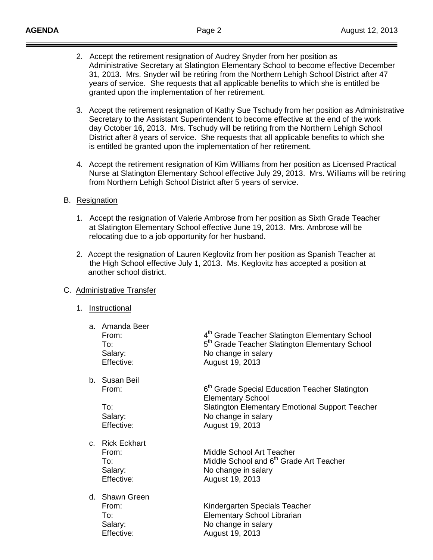- 2. Accept the retirement resignation of Audrey Snyder from her position as Administrative Secretary at Slatington Elementary School to become effective December 31, 2013. Mrs. Snyder will be retiring from the Northern Lehigh School District after 47 years of service. She requests that all applicable benefits to which she is entitled be granted upon the implementation of her retirement.
- 3. Accept the retirement resignation of Kathy Sue Tschudy from her position as Administrative Secretary to the Assistant Superintendent to become effective at the end of the work day October 16, 2013. Mrs. Tschudy will be retiring from the Northern Lehigh School District after 8 years of service. She requests that all applicable benefits to which she is entitled be granted upon the implementation of her retirement.
- 4. Accept the retirement resignation of Kim Williams from her position as Licensed Practical Nurse at Slatington Elementary School effective July 29, 2013. Mrs. Williams will be retiring from Northern Lehigh School District after 5 years of service.

## B. Resignation

- 1. Accept the resignation of Valerie Ambrose from her position as Sixth Grade Teacher at Slatington Elementary School effective June 19, 2013. Mrs. Ambrose will be relocating due to a job opportunity for her husband.
- 2. Accept the resignation of Lauren Keglovitz from her position as Spanish Teacher at the High School effective July 1, 2013. Ms. Keglovitz has accepted a position at another school district.

### C. Administrative Transfer

### 1. Instructional

| a. Amanda Beer<br>From:<br>To:<br>Salary:<br>Effective:  | 4 <sup>th</sup> Grade Teacher Slatington Elementary School<br>5 <sup>th</sup> Grade Teacher Slatington Elementary School<br>No change in salary<br>August 19, 2013                         |
|----------------------------------------------------------|--------------------------------------------------------------------------------------------------------------------------------------------------------------------------------------------|
| b. Susan Beil<br>From:<br>To:<br>Salary:<br>Effective:   | 6 <sup>th</sup> Grade Special Education Teacher Slatington<br><b>Elementary School</b><br><b>Slatington Elementary Emotional Support Teacher</b><br>No change in salary<br>August 19, 2013 |
| c. Rick Eckhart<br>From:<br>To:<br>Salary:<br>Effective: | Middle School Art Teacher<br>Middle School and 6 <sup>th</sup> Grade Art Teacher<br>No change in salary<br>August 19, 2013                                                                 |
| d. Shawn Green<br>From:<br>To:<br>Salary:<br>Effective:  | Kindergarten Specials Teacher<br><b>Elementary School Librarian</b><br>No change in salary<br>August 19, 2013                                                                              |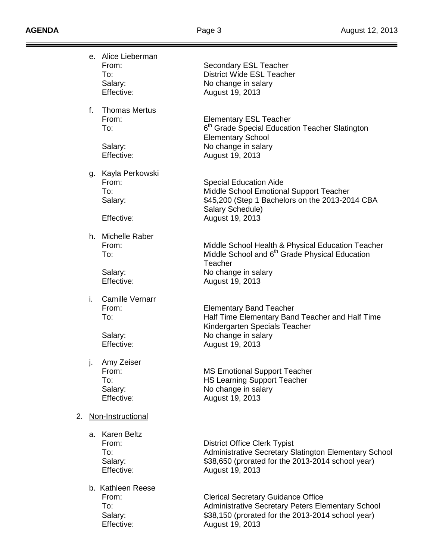Ξ ═  $=$ 

|                         |    | e. Alice Lieberman<br>From:<br>To:<br>Salary:<br>Effective: | Secondary ESL Teacher<br><b>District Wide ESL Teacher</b><br>No change in salary<br>August 19, 2013                                                                         |
|-------------------------|----|-------------------------------------------------------------|-----------------------------------------------------------------------------------------------------------------------------------------------------------------------------|
|                         | f. | <b>Thomas Mertus</b><br>From:<br>To:<br>Salary:             | <b>Elementary ESL Teacher</b><br>6 <sup>th</sup> Grade Special Education Teacher Slatington<br><b>Elementary School</b><br>No change in salary                              |
|                         |    | Effective:                                                  | August 19, 2013                                                                                                                                                             |
|                         |    | g. Kayla Perkowski<br>From:<br>To:<br>Salary:<br>Effective: | <b>Special Education Aide</b><br>Middle School Emotional Support Teacher<br>\$45,200 (Step 1 Bachelors on the 2013-2014 CBA<br>Salary Schedule)<br>August 19, 2013          |
|                         |    |                                                             |                                                                                                                                                                             |
|                         |    | h. Michelle Raber<br>From:<br>To:                           | Middle School Health & Physical Education Teacher<br>Middle School and 6 <sup>th</sup> Grade Physical Education<br>Teacher                                                  |
|                         |    | Salary:<br>Effective:                                       | No change in salary<br>August 19, 2013                                                                                                                                      |
|                         | i. | <b>Camille Vernarr</b><br>From:<br>To:                      | <b>Elementary Band Teacher</b><br>Half Time Elementary Band Teacher and Half Time<br>Kindergarten Specials Teacher                                                          |
|                         |    | Salary:<br>Effective:                                       | No change in salary<br>August 19, 2013                                                                                                                                      |
|                         | j. | Amy Zeiser<br>From:<br>To:<br>Salary:<br>Effective:         | <b>MS Emotional Support Teacher</b><br><b>HS Learning Support Teacher</b><br>No change in salary<br>August 19, 2013                                                         |
| Non-Instructional<br>2. |    |                                                             |                                                                                                                                                                             |
|                         |    | a. Karen Beltz<br>From:<br>To:<br>Salary:<br>Effective:     | <b>District Office Clerk Typist</b><br><b>Administrative Secretary Slatington Elementary School</b><br>\$38,650 (prorated for the 2013-2014 school year)<br>August 19, 2013 |
|                         |    | b. Kathleen Reese<br>From:<br>To:<br>Salary:<br>Effective:  | <b>Clerical Secretary Guidance Office</b><br>Administrative Secretary Peters Elementary School<br>\$38,150 (prorated for the 2013-2014 school year)<br>August 19, 2013      |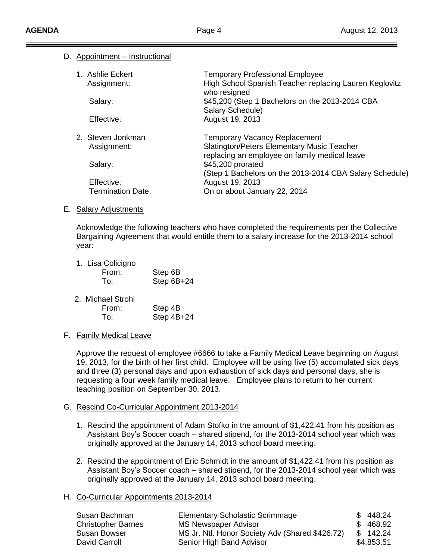### D. Appointment – Instructional

| 1. Ashlie Eckert<br>Assignment: | <b>Temporary Professional Employee</b><br>High School Spanish Teacher replacing Lauren Keglovitz<br>who resigned |
|---------------------------------|------------------------------------------------------------------------------------------------------------------|
| Salary:                         | \$45,200 (Step 1 Bachelors on the 2013-2014 CBA<br>Salary Schedule)                                              |
| Effective:                      | August 19, 2013                                                                                                  |
| 2. Steven Jonkman               | <b>Temporary Vacancy Replacement</b>                                                                             |
| Assignment:                     | <b>Slatington/Peters Elementary Music Teacher</b>                                                                |
|                                 | replacing an employee on family medical leave                                                                    |
| Salary:                         | \$45,200 prorated                                                                                                |
| Effective:                      | (Step 1 Bachelors on the 2013-2014 CBA Salary Schedule)<br>August 19, 2013                                       |
|                                 |                                                                                                                  |
| <b>Termination Date:</b>        | On or about January 22, 2014                                                                                     |

### E. Salary Adjustments

Acknowledge the following teachers who have completed the requirements per the Collective Bargaining Agreement that would entitle them to a salary increase for the 2013-2014 school year:

| 1. Lisa Colicigno<br>From:<br>To: | Step 6B<br>Step 6B+24 |  |
|-----------------------------------|-----------------------|--|
| 2. Michael Strohl<br>From:        | Step 4B               |  |

To: Step 4B+24

## F. Family Medical Leave

Approve the request of employee #6666 to take a Family Medical Leave beginning on August 19, 2013, for the birth of her first child. Employee will be using five (5) accumulated sick days and three (3) personal days and upon exhaustion of sick days and personal days, she is requesting a four week family medical leave. Employee plans to return to her current teaching position on September 30, 2013.

## G. Rescind Co-Curricular Appointment 2013-2014

- 1. Rescind the appointment of Adam Stofko in the amount of \$1,422.41 from his position as Assistant Boy's Soccer coach – shared stipend, for the 2013-2014 school year which was originally approved at the January 14, 2013 school board meeting.
- 2. Rescind the appointment of Eric Schmidt in the amount of \$1,422.41 from his position as Assistant Boy's Soccer coach – shared stipend, for the 2013-2014 school year which was originally approved at the January 14, 2013 school board meeting.

## H. Co-Curricular Appointments 2013-2014

| Susan Bachman             | <b>Elementary Scholastic Scrimmage</b>          | \$448.24   |
|---------------------------|-------------------------------------------------|------------|
| <b>Christopher Barnes</b> | MS Newspaper Advisor                            | \$468.92   |
| Susan Bowser              | MS Jr. Ntl. Honor Society Adv (Shared \$426.72) | \$142.24   |
| David Carroll             | Senior High Band Advisor                        | \$4,853.51 |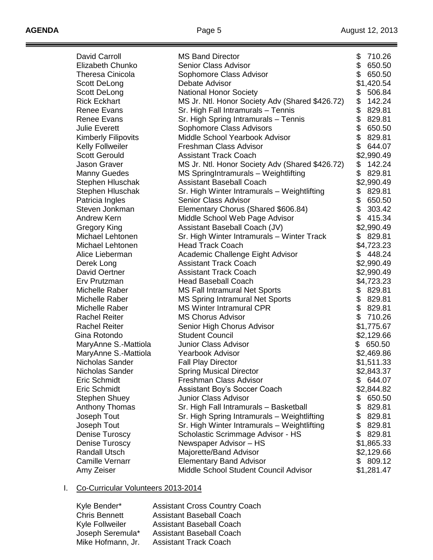$\equiv$ 

| David Carroll                        | <b>MS Band Director</b>                                                    | \$<br>710.26 |
|--------------------------------------|----------------------------------------------------------------------------|--------------|
| Elizabeth Chunko                     | <b>Senior Class Advisor</b>                                                | \$<br>650.50 |
| <b>Theresa Cinicola</b>              | Sophomore Class Advisor                                                    | \$<br>650.50 |
| Scott DeLong                         | Debate Advisor                                                             | \$1,420.54   |
| Scott DeLong                         | <b>National Honor Society</b>                                              | \$<br>506.84 |
| <b>Rick Eckhart</b>                  | MS Jr. Ntl. Honor Society Adv (Shared \$426.72)                            | \$<br>142.24 |
| <b>Renee Evans</b>                   | Sr. High Fall Intramurals - Tennis                                         | \$<br>829.81 |
| <b>Renee Evans</b>                   | Sr. High Spring Intramurals - Tennis                                       | \$<br>829.81 |
| <b>Julie Everett</b>                 | Sophomore Class Advisors                                                   | \$<br>650.50 |
| <b>Kimberly Filipovits</b>           | Middle School Yearbook Advisor                                             | \$<br>829.81 |
| <b>Kelly Follweiler</b>              | Freshman Class Advisor                                                     | \$<br>644.07 |
| <b>Scott Gerould</b>                 | <b>Assistant Track Coach</b>                                               | \$2,990.49   |
| <b>Jason Graver</b>                  | MS Jr. Ntl. Honor Society Adv (Shared \$426.72)                            | \$<br>142.24 |
| <b>Manny Guedes</b>                  | MS SpringIntramurals - Weightlifting                                       | \$<br>829.81 |
|                                      | <b>Assistant Baseball Coach</b>                                            |              |
| Stephen Hluschak<br>Stephen Hluschak |                                                                            | \$2,990.49   |
|                                      | Sr. High Winter Intramurals - Weightlifting<br><b>Senior Class Advisor</b> | \$<br>829.81 |
| Patricia Ingles                      |                                                                            | \$<br>650.50 |
| Steven Jonkman                       | Elementary Chorus (Shared \$606.84)                                        | \$<br>303.42 |
| Andrew Kern                          | Middle School Web Page Advisor                                             | \$<br>415.34 |
| Gregory King                         | Assistant Baseball Coach (JV)                                              | \$2,990.49   |
| Michael Lehtonen                     | Sr. High Winter Intramurals - Winter Track                                 | \$<br>829.81 |
| Michael Lehtonen                     | <b>Head Track Coach</b>                                                    | \$4,723.23   |
| Alice Lieberman                      | Academic Challenge Eight Advisor                                           | \$<br>448.24 |
| Derek Long                           | <b>Assistant Track Coach</b>                                               | \$2,990.49   |
| David Oertner                        | <b>Assistant Track Coach</b>                                               | \$2,990.49   |
| Erv Prutzman                         | <b>Head Baseball Coach</b>                                                 | \$4,723.23   |
| Michelle Raber                       | <b>MS Fall Intramural Net Sports</b>                                       | \$<br>829.81 |
| Michelle Raber                       | <b>MS Spring Intramural Net Sports</b>                                     | \$<br>829.81 |
| Michelle Raber                       | <b>MS Winter Intramural CPR</b>                                            | \$<br>829.81 |
| <b>Rachel Reiter</b>                 | <b>MS Chorus Advisor</b>                                                   | \$<br>710.26 |
| <b>Rachel Reiter</b>                 | Senior High Chorus Advisor                                                 | \$1,775.67   |
| Gina Rotondo                         | <b>Student Council</b>                                                     | \$2,129.66   |
| MaryAnne S.-Mattiola                 | Junior Class Advisor                                                       | \$<br>650.50 |
| MaryAnne S.-Mattiola                 | <b>Yearbook Advisor</b>                                                    | \$2,469.86   |
| Nicholas Sander                      | <b>Fall Play Director</b>                                                  | \$1,511.33   |
| Nicholas Sander                      | <b>Spring Musical Director</b>                                             | \$2,843.37   |
| <b>Eric Schmidt</b>                  | <b>Freshman Class Advisor</b>                                              | \$644.07     |
| <b>Eric Schmidt</b>                  | Assistant Boy's Soccer Coach                                               | \$2,844.82   |
| Stephen Shuey                        | <b>Junior Class Advisor</b>                                                | \$<br>650.50 |
| Anthony Thomas                       | Sr. High Fall Intramurals - Basketball                                     | \$<br>829.81 |
| Joseph Tout                          | Sr. High Spring Intramurals - Weightlifting                                | \$<br>829.81 |
| Joseph Tout                          | Sr. High Winter Intramurals - Weightlifting                                | \$<br>829.81 |
| <b>Denise Turoscy</b>                | Scholastic Scrimmage Advisor - HS                                          | \$<br>829.81 |
| <b>Denise Turoscy</b>                | Newspaper Advisor - HS                                                     | \$1,865.33   |
| <b>Randall Utsch</b>                 | Majorette/Band Advisor                                                     | \$2,129.66   |
| <b>Camille Vernarr</b>               | <b>Elementary Band Advisor</b>                                             | \$<br>809.12 |
| Amy Zeiser                           | Middle School Student Council Advisor                                      | \$1,281.47   |
|                                      |                                                                            |              |

# I. Co-Curricular Volunteers 2013-2014

Kyle Bender\* Assistant Cross Country Coach<br>
Chris Bennett Assistant Baseball Coach **Chris Bennett** Assistant Baseball Coach<br>
Kyle Follweiler Assistant Baseball Coach Kyle Follweiler Assistant Baseball Coach<br>Joseph Seremula\* Assistant Baseball Coach Joseph Seremula\* Assistant Baseball Coach<br>Mike Hofmann, Jr. Assistant Track Coach **Assistant Track Coach**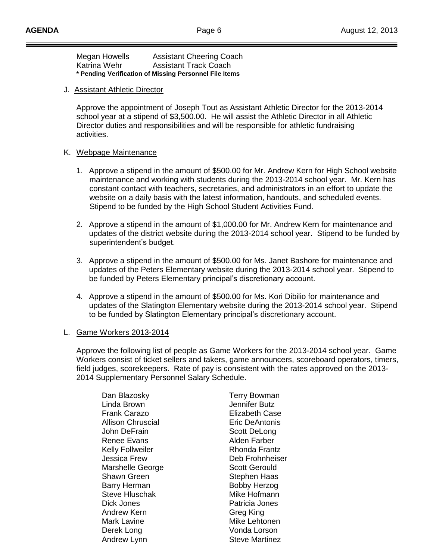| Megan Howells                                          | <b>Assistant Cheering Coach</b> |  |
|--------------------------------------------------------|---------------------------------|--|
| Katrina Wehr                                           | <b>Assistant Track Coach</b>    |  |
| * Pending Verification of Missing Personnel File Items |                                 |  |

### J. Assistant Athletic Director

Approve the appointment of Joseph Tout as Assistant Athletic Director for the 2013-2014 school year at a stipend of \$3,500.00. He will assist the Athletic Director in all Athletic Director duties and responsibilities and will be responsible for athletic fundraising activities.

#### K. Webpage Maintenance

- 1. Approve a stipend in the amount of \$500.00 for Mr. Andrew Kern for High School website maintenance and working with students during the 2013-2014 school year. Mr. Kern has constant contact with teachers, secretaries, and administrators in an effort to update the website on a daily basis with the latest information, handouts, and scheduled events. Stipend to be funded by the High School Student Activities Fund.
- 2. Approve a stipend in the amount of \$1,000.00 for Mr. Andrew Kern for maintenance and updates of the district website during the 2013-2014 school year. Stipend to be funded by superintendent's budget.
- 3. Approve a stipend in the amount of \$500.00 for Ms. Janet Bashore for maintenance and updates of the Peters Elementary website during the 2013-2014 school year. Stipend to be funded by Peters Elementary principal's discretionary account.
- 4. Approve a stipend in the amount of \$500.00 for Ms. Kori Dibilio for maintenance and updates of the Slatington Elementary website during the 2013-2014 school year. Stipend to be funded by Slatington Elementary principal's discretionary account.

### L. Game Workers 2013-2014

Approve the following list of people as Game Workers for the 2013-2014 school year. Game Workers consist of ticket sellers and takers, game announcers, scoreboard operators, timers, field judges, scorekeepers. Rate of pay is consistent with the rates approved on the 2013- 2014 Supplementary Personnel Salary Schedule.

| Dan Blazosky      |  |
|-------------------|--|
| Linda Brown       |  |
| Frank Carazo      |  |
| Allison Chruscial |  |
| John DeFrain      |  |
| Renee Evans       |  |
| Kelly Follweiler  |  |
| Jessica Frew      |  |
| Marshelle George  |  |
| Shawn Green       |  |
| Barry Herman      |  |
| Steve Hluschak    |  |
| Dick Jones        |  |
| Andrew Kern       |  |
| Mark Lavine       |  |
| Derek Long        |  |
| Andrew Lynn       |  |

Terry Bowman Jennifer Butz Elizabeth Case Eric DeAntonis Scott DeLong Alden Farber Rhonda Frantz Deb Frohnheiser Scott Gerould Stephen Haas Bobby Herzog Mike Hofmann Patricia Jones Greg King Mike Lehtonen Vonda Lorson **Steve Martinez**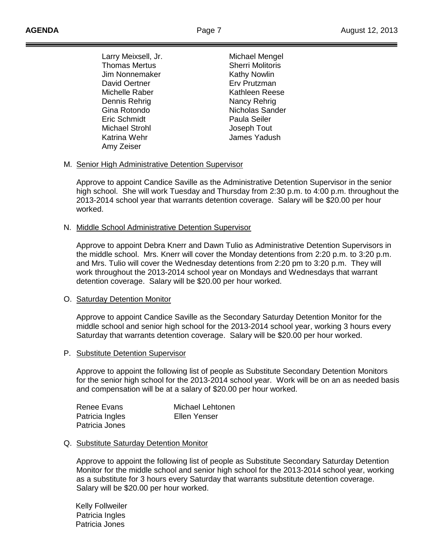Larry Meixsell, Jr. **Michael Mengel** Thomas Mertus **Sherri Molitoris** Jim Nonnemaker Kathy Nowlin David Oertner **Erv Prutzman** Michelle Raber Neese Kathleen Reese Dennis Rehrig Nancy Rehrig Gina Rotondo **Nicholas Sander** Eric Schmidt Paula Seiler Michael Strohl **International Strohl** Joseph Tout Katrina Wehr **Internal Studies** James Yadush Amy Zeiser

### M. Senior High Administrative Detention Supervisor

Approve to appoint Candice Saville as the Administrative Detention Supervisor in the senior high school. She will work Tuesday and Thursday from 2:30 p.m. to 4:00 p.m. throughout the 2013-2014 school year that warrants detention coverage. Salary will be \$20.00 per hour worked.

### N. Middle School Administrative Detention Supervisor

Approve to appoint Debra Knerr and Dawn Tulio as Administrative Detention Supervisors in the middle school. Mrs. Knerr will cover the Monday detentions from 2:20 p.m. to 3:20 p.m. and Mrs. Tulio will cover the Wednesday detentions from 2:20 pm to 3:20 p.m. They will work throughout the 2013-2014 school year on Mondays and Wednesdays that warrant detention coverage. Salary will be \$20.00 per hour worked.

### O. Saturday Detention Monitor

Approve to appoint Candice Saville as the Secondary Saturday Detention Monitor for the middle school and senior high school for the 2013-2014 school year, working 3 hours every Saturday that warrants detention coverage. Salary will be \$20.00 per hour worked.

### P. Substitute Detention Supervisor

Approve to appoint the following list of people as Substitute Secondary Detention Monitors for the senior high school for the 2013-2014 school year. Work will be on an as needed basis and compensation will be at a salary of \$20.00 per hour worked.

| Renee Evans     | Michael Lehtonen |
|-----------------|------------------|
| Patricia Ingles | Ellen Yenser     |
| Patricia Jones  |                  |

### Q. Substitute Saturday Detention Monitor

Approve to appoint the following list of people as Substitute Secondary Saturday Detention Monitor for the middle school and senior high school for the 2013-2014 school year, working as a substitute for 3 hours every Saturday that warrants substitute detention coverage. Salary will be \$20.00 per hour worked.

 Kelly Follweiler Patricia Ingles Patricia Jones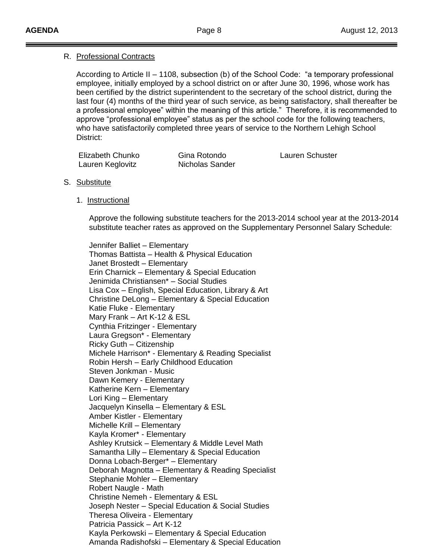## R. Professional Contracts

According to Article II – 1108, subsection (b) of the School Code: "a temporary professional employee, initially employed by a school district on or after June 30, 1996, whose work has been certified by the district superintendent to the secretary of the school district, during the last four (4) months of the third year of such service, as being satisfactory, shall thereafter be a professional employee" within the meaning of this article." Therefore, it is recommended to approve "professional employee" status as per the school code for the following teachers, who have satisfactorily completed three years of service to the Northern Lehigh School District:

| Elizabeth Chunko | Gina Rotondo    |
|------------------|-----------------|
| Lauren Keglovitz | Nicholas Sander |

Lauren Schuster

- S. Substitute
	- 1. Instructional

Approve the following substitute teachers for the 2013-2014 school year at the 2013-2014 substitute teacher rates as approved on the Supplementary Personnel Salary Schedule:

Jennifer Balliet – Elementary Thomas Battista – Health & Physical Education Janet Brostedt – Elementary Erin Charnick – Elementary & Special Education Jenimida Christiansen\* – Social Studies Lisa Cox – English, Special Education, Library & Art Christine DeLong – Elementary & Special Education Katie Fluke - Elementary Mary Frank – Art K-12 & ESL Cynthia Fritzinger - Elementary Laura Gregson\* - Elementary Ricky Guth – Citizenship Michele Harrison\* - Elementary & Reading Specialist Robin Hersh – Early Childhood Education Steven Jonkman - Music Dawn Kemery - Elementary Katherine Kern – Elementary Lori King – Elementary Jacquelyn Kinsella – Elementary & ESL Amber Kistler - Elementary Michelle Krill – Elementary Kayla Kromer\* - Elementary Ashley Krutsick – Elementary & Middle Level Math Samantha Lilly – Elementary & Special Education Donna Lobach-Berger\* – Elementary Deborah Magnotta – Elementary & Reading Specialist Stephanie Mohler – Elementary Robert Naugle - Math Christine Nemeh - Elementary & ESL Joseph Nester – Special Education & Social Studies Theresa Oliveira - Elementary Patricia Passick – Art K-12 Kayla Perkowski – Elementary & Special Education Amanda Radishofski – Elementary & Special Education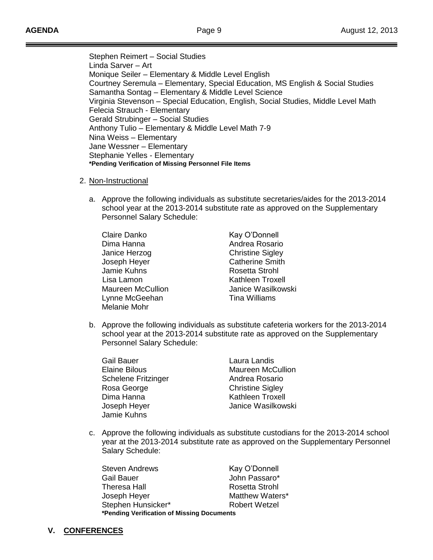Stephen Reimert – Social Studies Linda Sarver – Art Monique Seiler – Elementary & Middle Level English Courtney Seremula – Elementary, Special Education, MS English & Social Studies Samantha Sontag – Elementary & Middle Level Science Virginia Stevenson – Special Education, English, Social Studies, Middle Level Math Felecia Strauch - Elementary Gerald Strubinger – Social Studies Anthony Tulio – Elementary & Middle Level Math 7-9 Nina Weiss – Elementary Jane Wessner – Elementary Stephanie Yelles - Elementary **\*Pending Verification of Missing Personnel File Items**

- 2. Non-Instructional
	- a. Approve the following individuals as substitute secretaries/aides for the 2013-2014 school year at the 2013-2014 substitute rate as approved on the Supplementary Personnel Salary Schedule:

Claire Danko Kay O'Donnell Dima Hanna **Andrea Rosario** Janice Herzog Christine Sigley Joseph Heyer **Catherine Smith** Jamie Kuhns **Rosetta** Strohl Lisa Lamon **Kathleen Troxell** Lynne McGeehan Tina Williams Melanie Mohr

Maureen McCullion **Maureen McCullion** Janice Wasilkowski

b. Approve the following individuals as substitute cafeteria workers for the 2013-2014 school year at the 2013-2014 substitute rate as approved on the Supplementary Personnel Salary Schedule:

Gail Bauer Laura Landis Schelene Fritzinger **Andrea Rosario** Rosa George **Christine** Sigley Dima Hanna **Kathleen** Troxell Jamie Kuhns

Elaine Bilous **Maureen McCullion** Joseph Heyer Janice Wasilkowski

c. Approve the following individuals as substitute custodians for the 2013-2014 school year at the 2013-2014 substitute rate as approved on the Supplementary Personnel Salary Schedule:

| <b>Steven Andrews</b>                      | Kay O'Donnell        |  |
|--------------------------------------------|----------------------|--|
| <b>Gail Bauer</b>                          | John Passaro*        |  |
| <b>Theresa Hall</b>                        | Rosetta Strohl       |  |
| Joseph Heyer                               | Matthew Waters*      |  |
| Stephen Hunsicker*                         | <b>Robert Wetzel</b> |  |
| *Pending Verification of Missing Documents |                      |  |

**V. CONFERENCES**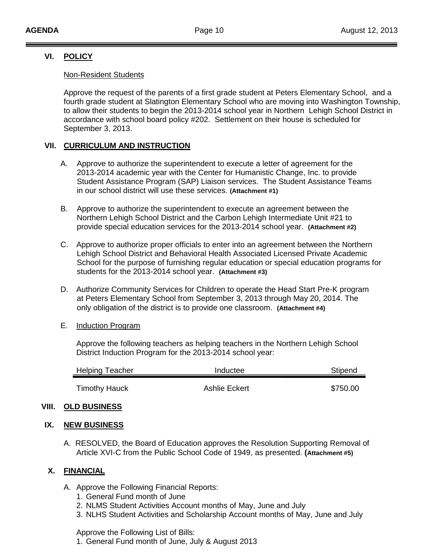## **VI. POLICY**

### Non-Resident Students

Approve the request of the parents of a first grade student at Peters Elementary School, and a fourth grade student at Slatington Elementary School who are moving into Washington Township, to allow their students to begin the 2013-2014 school year in Northern Lehigh School District in accordance with school board policy #202. Settlement on their house is scheduled for September 3, 2013.

## **VII. CURRICULUM AND INSTRUCTION**

- A. Approve to authorize the superintendent to execute a letter of agreement for the 2013-2014 academic year with the Center for Humanistic Change, Inc. to provide Student Assistance Program (SAP) Liaison services. The Student Assistance Teams in our school district will use these services. **(Attachment #1)**
- B. Approve to authorize the superintendent to execute an agreement between the Northern Lehigh School District and the Carbon Lehigh Intermediate Unit #21 to provide special education services for the 2013-2014 school year. **(Attachment #2)**
- C. Approve to authorize proper officials to enter into an agreement between the Northern Lehigh School District and Behavioral Health Associated Licensed Private Academic School for the purpose of furnishing regular education or special education programs for students for the 2013-2014 school year. **(Attachment #3)**
- D. Authorize Community Services for Children to operate the Head Start Pre-K program at Peters Elementary School from September 3, 2013 through May 20, 2014. The only obligation of the district is to provide one classroom. **(Attachment #4)**
- E. Induction Program

Approve the following teachers as helping teachers in the Northern Lehigh School District Induction Program for the 2013-2014 school year:

| <b>Helping Teacher</b> | Inductee      | Stipend  |
|------------------------|---------------|----------|
| <b>Timothy Hauck</b>   | Ashlie Eckert | \$750.00 |

## **VIII. OLD BUSINESS**

## **IX. NEW BUSINESS**

A. RESOLVED, the Board of Education approves the Resolution Supporting Removal of Article XVI-C from the Public School Code of 1949, as presented. **(Attachment #5)**

## **X. FINANCIAL**

- A. Approve the Following Financial Reports:
	- 1. General Fund month of June
	- 2. NLMS Student Activities Account months of May, June and July
	- 3. NLHS Student Activities and Scholarship Account months of May, June and July

Approve the Following List of Bills:

1. General Fund month of June, July & August 2013